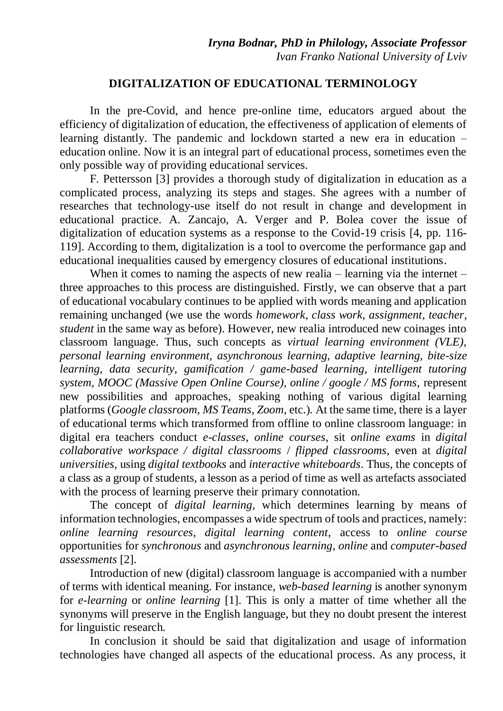## **DIGITALIZATION OF EDUCATIONAL TERMINOLOGY**

In the pre-Covid, and hence pre-online time, educators argued about the efficiency of digitalization of education, the effectiveness of application of elements of learning distantly. The pandemic and lockdown started a new era in education – education online. Now it is an integral part of educational process, sometimes even the only possible way of providing educational services.

F. Pettersson [3] provides a thorough study of digitalization in education as a complicated process, analyzing its steps and stages. She agrees with a number of researches that technology-use itself do not result in change and development in educational practice. A. Zancajo, A. Verger and P. Bolea cover the issue of digitalization of education systems as a response to the Covid-19 crisis [4, pp. 116- 119]. According to them, digitalization is a tool to overcome the performance gap and educational inequalities caused by emergency closures of educational institutions.

When it comes to naming the aspects of new realia – learning via the internet – three approaches to this process are distinguished. Firstly, we can observe that a part of educational vocabulary continues to be applied with words meaning and application remaining unchanged (we use the words *homework, class work, assignment*, *teacher, student* in the same way as before). However, new realia introduced new coinages into classroom language. Thus, such concepts as *virtual learning environment (VLE), personal learning environment, asynchronous learning, adaptive learning, bite-size learning, data security, gamification / game-based learning, intelligent tutoring system, MOOC (Massive Open Online Course), online / google / MS forms,* represent new possibilities and approaches, speaking nothing of various digital learning platforms (*Google classroom, MS Teams, Zoom*, etc.)*.* At the same time, there is a layer of educational terms which transformed from offline to online classroom language: in digital era teachers conduct *e-classes, online courses*, sit *online exams* in *digital collaborative workspace / digital classrooms* / *flipped classrooms,* even at *digital universities,* using *digital textbooks* and *interactive whiteboards*. Thus, the concepts of a class as a group of students, a lesson as a period of time as well as artefacts associated with the process of learning preserve their primary connotation.

The concept of *digital learning,* which determines learning by means of information technologies, encompasses a wide spectrum of tools and practices, namely: *online learning resources, digital learning content*, access to *online course* opportunities for *synchronous* and *asynchronous learning*, *online* and *computer-based assessments* [2].

Introduction of new (digital) classroom language is accompanied with a number of terms with identical meaning. For instance, *web-based learning* is another synonym for *e-learning* or *online learning* [1]. This is only a matter of time whether all the synonyms will preserve in the English language, but they no doubt present the interest for linguistic research.

In conclusion it should be said that digitalization and usage of information technologies have changed all aspects of the educational process. As any process, it